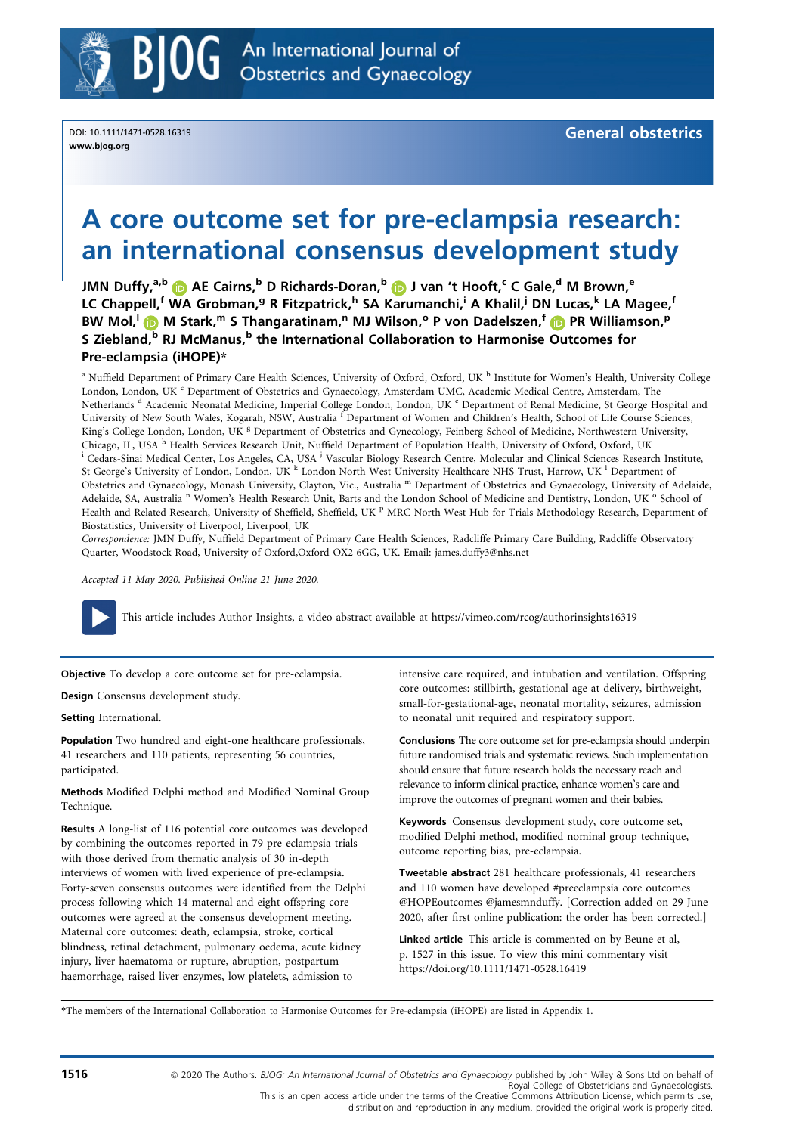

DOI: 10.1111/1471-0528.16319 www.bjog.org

General obstetrics

# A core outcome set for pre-eclampsia research: an international consensus development study

JMN Duffy,<sup>a,[b](https://orcid.org/0000-0002-0527-0259)</sup> AE Cairns,<sup>b</sup> D Richards-Doran,<sup>b</sup> D J van 't Hooft,<sup>c</sup> C Gale,<sup>d</sup> M Brown,<sup>e</sup> LC Chappell,<sup>f</sup> WA Grobman,<sup>g</sup> R Fitzpatrick,<sup>h</sup> SA Karumanchi,<sup>i</sup> A Khalil,<sup>j</sup> DN Lucas,<sup>k</sup> LA Magee,<sup>f</sup> BW Mo[l](https://orcid.org/0000-0001-8337-550X), M Stark,<sup>m</sup> S Thangaratinam,<sup>n</sup> MJ Wilson,° P von Dadelszen,<sup>[f](https://orcid.org/0000-0003-4136-3070)</sup> D PR Williamson,<sup>p</sup> S Ziebland,<sup>b</sup> RJ McManus,<sup>b</sup> the International Collaboration to Harmonise Outcomes for Pre-eclampsia (iHOPE)\*

<sup>a</sup> Nuffield Department of Primary Care Health Sciences, University of Oxford, Oxford, UK <sup>b</sup> Institute for Women's Health, University College London, London, UK <sup>c</sup> Department of Obstetrics and Gynaecology, Amsterdam UMC, Academic Medical Centre, Amsterdam, The Netherlands <sup>d</sup> Academic Neonatal Medicine, Imperial College London, London, UK <sup>e</sup> Department of Renal Medicine, St George Hospital and University of New South Wales, Kogarah, NSW, Australia <sup>f</sup> Department of Women and Children's Health, School of Life Course Sciences, King's College London, London, UK <sup>g</sup> Department of Obstetrics and Gynecology, Feinberg School of Medicine, Northwestern University, Chicago, IL, USA<sup>h</sup> Health Services Research Unit, Nuffield Department of Population Health, University of Oxford, Oxford, UK <sup>i</sup> Cedars-Sinai Medical Center, Los Angeles, CA, USA <sup>j</sup> Vascular Biology Research Centre, Mole St George's University of London, London, UK k London North West University Healthcare NHS Trust, Harrow, UK Department of Obstetrics and Gynaecology, Monash University, Clayton, Vic., Australia <sup>m</sup> Department of Obstetrics and Gynaecology, University of Adelaide, Adelaide, SA, Australia <sup>n</sup> Women's Health Research Unit, Barts and the London School of Medicine and Dentistry, London, UK <sup>o</sup> School of Health and Related Research, University of Sheffield, Sheffield, UK <sup>P</sup> MRC North West Hub for Trials Methodology Research, Department of Biostatistics, University of Liverpool, Liverpool, UK

Correspondence: JMN Duffy, Nuffield Department of Primary Care Health Sciences, Radcliffe Primary Care Building, Radcliffe Observatory Quarter, Woodstock Road, University of Oxford,Oxford OX2 6GG, UK. Email: [james.duffy3@nhs.net](mailto:)

Accepted 11 May 2020. Published Online 21 June 2020.

This article includes Author Insights, a video abstract available at<https://vimeo.com/rcog/authorinsights16319>

Objective To develop a core outcome set for pre-eclampsia.

Design Consensus development study.

Setting International.

Population Two hundred and eight-one healthcare professionals, 41 researchers and 110 patients, representing 56 countries, participated.

Methods Modified Delphi method and Modified Nominal Group Technique.

Results A long-list of 116 potential core outcomes was developed by combining the outcomes reported in 79 pre-eclampsia trials with those derived from thematic analysis of 30 in-depth interviews of women with lived experience of pre-eclampsia. Forty-seven consensus outcomes were identified from the Delphi process following which 14 maternal and eight offspring core outcomes were agreed at the consensus development meeting. Maternal core outcomes: death, eclampsia, stroke, cortical blindness, retinal detachment, pulmonary oedema, acute kidney injury, liver haematoma or rupture, abruption, postpartum haemorrhage, raised liver enzymes, low platelets, admission to

intensive care required, and intubation and ventilation. Offspring core outcomes: stillbirth, gestational age at delivery, birthweight, small-for-gestational-age, neonatal mortality, seizures, admission to neonatal unit required and respiratory support.

Conclusions The core outcome set for pre-eclampsia should underpin future randomised trials and systematic reviews. Such implementation should ensure that future research holds the necessary reach and relevance to inform clinical practice, enhance women's care and improve the outcomes of pregnant women and their babies.

Keywords Consensus development study, core outcome set, modified Delphi method, modified nominal group technique, outcome reporting bias, pre-eclampsia.

Tweetable abstract 281 healthcare professionals, 41 researchers and 110 women have developed #preeclampsia core outcomes @HOPEoutcomes @jamesmnduffy. [Correction added on 29 June 2020, after first online publication: the order has been corrected.]

Linked article This article is commented on by Beune et al, p. 1527 in this issue. To view this mini commentary visit <https://doi.org/10.1111/1471-0528.16419>

\*The members of the International Collaboration to Harmonise Outcomes for Pre-eclampsia (iHOPE) are listed in Appendix 1.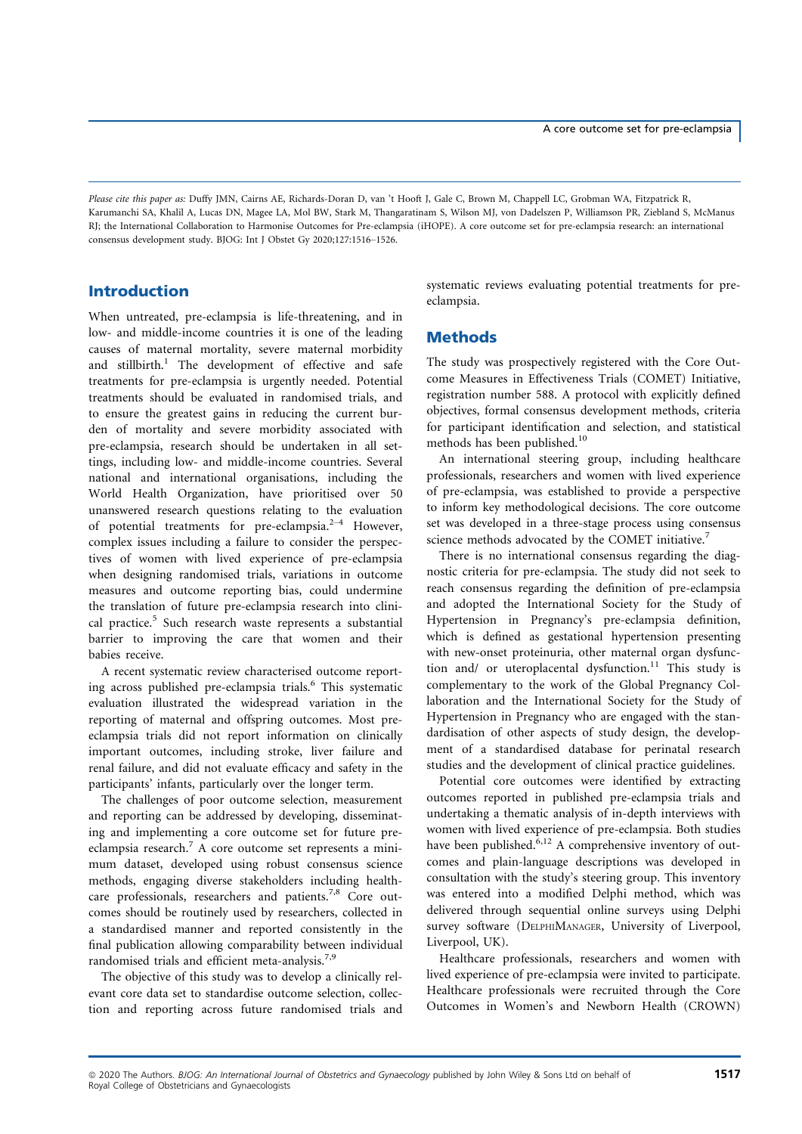Please cite this paper as: Duffy JMN, Cairns AE, Richards-Doran D, van 't Hooft J, Gale C, Brown M, Chappell LC, Grobman WA, Fitzpatrick R, Karumanchi SA, Khalil A, Lucas DN, Magee LA, Mol BW, Stark M, Thangaratinam S, Wilson MJ, von Dadelszen P, Williamson PR, Ziebland S, McManus RJ; the International Collaboration to Harmonise Outcomes for Pre-eclampsia (iHOPE). A core outcome set for pre-eclampsia research: an international consensus development study. BJOG: Int J Obstet Gy 2020[;127:1516](https://doi.org/10.1111/1471-0528.16319)–1526.

# Introduction

When untreated, pre-eclampsia is life-threatening, and in low- and middle-income countries it is one of the leading causes of maternal mortality, severe maternal morbidity and stillbirth.<sup>1</sup> The development of effective and safe treatments for pre-eclampsia is urgently needed. Potential treatments should be evaluated in randomised trials, and to ensure the greatest gains in reducing the current burden of mortality and severe morbidity associated with pre-eclampsia, research should be undertaken in all settings, including low- and middle-income countries. Several national and international organisations, including the World Health Organization, have prioritised over 50 unanswered research questions relating to the evaluation of potential treatments for pre-eclampsia. $2-4$  However, complex issues including a failure to consider the perspectives of women with lived experience of pre-eclampsia when designing randomised trials, variations in outcome measures and outcome reporting bias, could undermine the translation of future pre-eclampsia research into clinical practice.<sup>5</sup> Such research waste represents a substantial barrier to improving the care that women and their babies receive.

A recent systematic review characterised outcome reporting across published pre-eclampsia trials.<sup>6</sup> This systematic evaluation illustrated the widespread variation in the reporting of maternal and offspring outcomes. Most preeclampsia trials did not report information on clinically important outcomes, including stroke, liver failure and renal failure, and did not evaluate efficacy and safety in the participants' infants, particularly over the longer term.

The challenges of poor outcome selection, measurement and reporting can be addressed by developing, disseminating and implementing a core outcome set for future preeclampsia research.<sup>7</sup> A core outcome set represents a minimum dataset, developed using robust consensus science methods, engaging diverse stakeholders including healthcare professionals, researchers and patients.<sup>7,8</sup> Core outcomes should be routinely used by researchers, collected in a standardised manner and reported consistently in the final publication allowing comparability between individual randomised trials and efficient meta-analysis.<sup>7,9</sup>

The objective of this study was to develop a clinically relevant core data set to standardise outcome selection, collection and reporting across future randomised trials and systematic reviews evaluating potential treatments for preeclampsia.

## **Methods**

The study was prospectively registered with the Core Outcome Measures in Effectiveness Trials (COMET) Initiative, registration number 588. A protocol with explicitly defined objectives, formal consensus development methods, criteria for participant identification and selection, and statistical methods has been published.<sup>10</sup>

An international steering group, including healthcare professionals, researchers and women with lived experience of pre-eclampsia, was established to provide a perspective to inform key methodological decisions. The core outcome set was developed in a three-stage process using consensus science methods advocated by the COMET initiative.<sup>7</sup>

There is no international consensus regarding the diagnostic criteria for pre-eclampsia. The study did not seek to reach consensus regarding the definition of pre-eclampsia and adopted the International Society for the Study of Hypertension in Pregnancy's pre-eclampsia definition, which is defined as gestational hypertension presenting with new-onset proteinuria, other maternal organ dysfunction and/ or uteroplacental dysfunction.<sup>11</sup> This study is complementary to the work of the Global Pregnancy Collaboration and the International Society for the Study of Hypertension in Pregnancy who are engaged with the standardisation of other aspects of study design, the development of a standardised database for perinatal research studies and the development of clinical practice guidelines.

Potential core outcomes were identified by extracting outcomes reported in published pre-eclampsia trials and undertaking a thematic analysis of in-depth interviews with women with lived experience of pre-eclampsia. Both studies have been published. $6,12$  A comprehensive inventory of outcomes and plain-language descriptions was developed in consultation with the study's steering group. This inventory was entered into a modified Delphi method, which was delivered through sequential online surveys using Delphi survey software (DELPHIMANAGER, University of Liverpool, Liverpool, UK).

Healthcare professionals, researchers and women with lived experience of pre-eclampsia were invited to participate. Healthcare professionals were recruited through the Core Outcomes in Women's and Newborn Health (CROWN)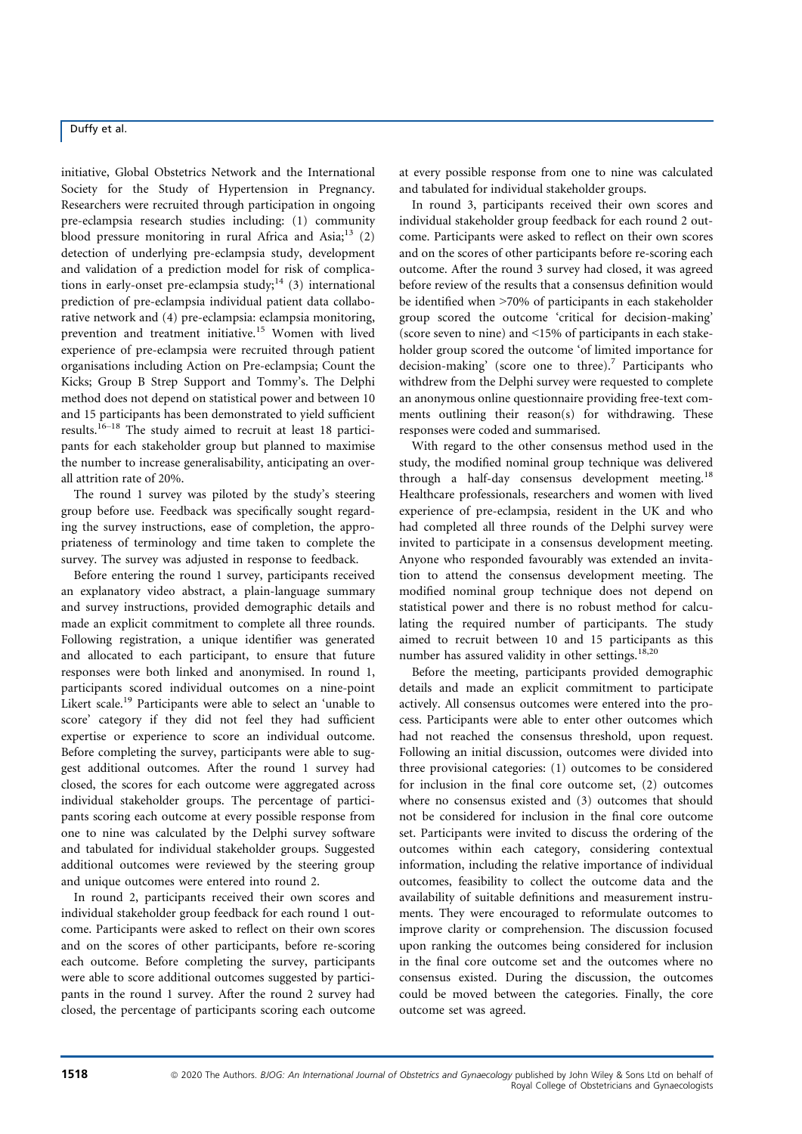initiative, Global Obstetrics Network and the International Society for the Study of Hypertension in Pregnancy. Researchers were recruited through participation in ongoing pre-eclampsia research studies including: (1) community blood pressure monitoring in rural Africa and Asia; $13$  (2) detection of underlying pre-eclampsia study, development and validation of a prediction model for risk of complications in early-onset pre-eclampsia study; $14$  (3) international prediction of pre-eclampsia individual patient data collaborative network and (4) pre-eclampsia: eclampsia monitoring, prevention and treatment initiative.<sup>15</sup> Women with lived experience of pre-eclampsia were recruited through patient organisations including Action on Pre-eclampsia; Count the Kicks; Group B Strep Support and Tommy's. The Delphi method does not depend on statistical power and between 10 and 15 participants has been demonstrated to yield sufficient results.<sup>16–18</sup> The study aimed to recruit at least 18 participants for each stakeholder group but planned to maximise the number to increase generalisability, anticipating an overall attrition rate of 20%.

The round 1 survey was piloted by the study's steering group before use. Feedback was specifically sought regarding the survey instructions, ease of completion, the appropriateness of terminology and time taken to complete the survey. The survey was adjusted in response to feedback.

Before entering the round 1 survey, participants received an explanatory video abstract, a plain-language summary and survey instructions, provided demographic details and made an explicit commitment to complete all three rounds. Following registration, a unique identifier was generated and allocated to each participant, to ensure that future responses were both linked and anonymised. In round 1, participants scored individual outcomes on a nine-point Likert scale.<sup>19</sup> Participants were able to select an 'unable to score' category if they did not feel they had sufficient expertise or experience to score an individual outcome. Before completing the survey, participants were able to suggest additional outcomes. After the round 1 survey had closed, the scores for each outcome were aggregated across individual stakeholder groups. The percentage of participants scoring each outcome at every possible response from one to nine was calculated by the Delphi survey software and tabulated for individual stakeholder groups. Suggested additional outcomes were reviewed by the steering group and unique outcomes were entered into round 2.

In round 2, participants received their own scores and individual stakeholder group feedback for each round 1 outcome. Participants were asked to reflect on their own scores and on the scores of other participants, before re-scoring each outcome. Before completing the survey, participants were able to score additional outcomes suggested by participants in the round 1 survey. After the round 2 survey had closed, the percentage of participants scoring each outcome at every possible response from one to nine was calculated and tabulated for individual stakeholder groups.

In round 3, participants received their own scores and individual stakeholder group feedback for each round 2 outcome. Participants were asked to reflect on their own scores and on the scores of other participants before re-scoring each outcome. After the round 3 survey had closed, it was agreed before review of the results that a consensus definition would be identified when >70% of participants in each stakeholder group scored the outcome 'critical for decision-making' (score seven to nine) and <15% of participants in each stakeholder group scored the outcome 'of limited importance for decision-making' (score one to three).<sup>7</sup> Participants who withdrew from the Delphi survey were requested to complete an anonymous online questionnaire providing free-text comments outlining their reason(s) for withdrawing. These responses were coded and summarised.

With regard to the other consensus method used in the study, the modified nominal group technique was delivered through a half-day consensus development meeting.<sup>18</sup> Healthcare professionals, researchers and women with lived experience of pre-eclampsia, resident in the UK and who had completed all three rounds of the Delphi survey were invited to participate in a consensus development meeting. Anyone who responded favourably was extended an invitation to attend the consensus development meeting. The modified nominal group technique does not depend on statistical power and there is no robust method for calculating the required number of participants. The study aimed to recruit between 10 and 15 participants as this number has assured validity in other settings.<sup>18,20</sup>

Before the meeting, participants provided demographic details and made an explicit commitment to participate actively. All consensus outcomes were entered into the process. Participants were able to enter other outcomes which had not reached the consensus threshold, upon request. Following an initial discussion, outcomes were divided into three provisional categories: (1) outcomes to be considered for inclusion in the final core outcome set, (2) outcomes where no consensus existed and (3) outcomes that should not be considered for inclusion in the final core outcome set. Participants were invited to discuss the ordering of the outcomes within each category, considering contextual information, including the relative importance of individual outcomes, feasibility to collect the outcome data and the availability of suitable definitions and measurement instruments. They were encouraged to reformulate outcomes to improve clarity or comprehension. The discussion focused upon ranking the outcomes being considered for inclusion in the final core outcome set and the outcomes where no consensus existed. During the discussion, the outcomes could be moved between the categories. Finally, the core outcome set was agreed.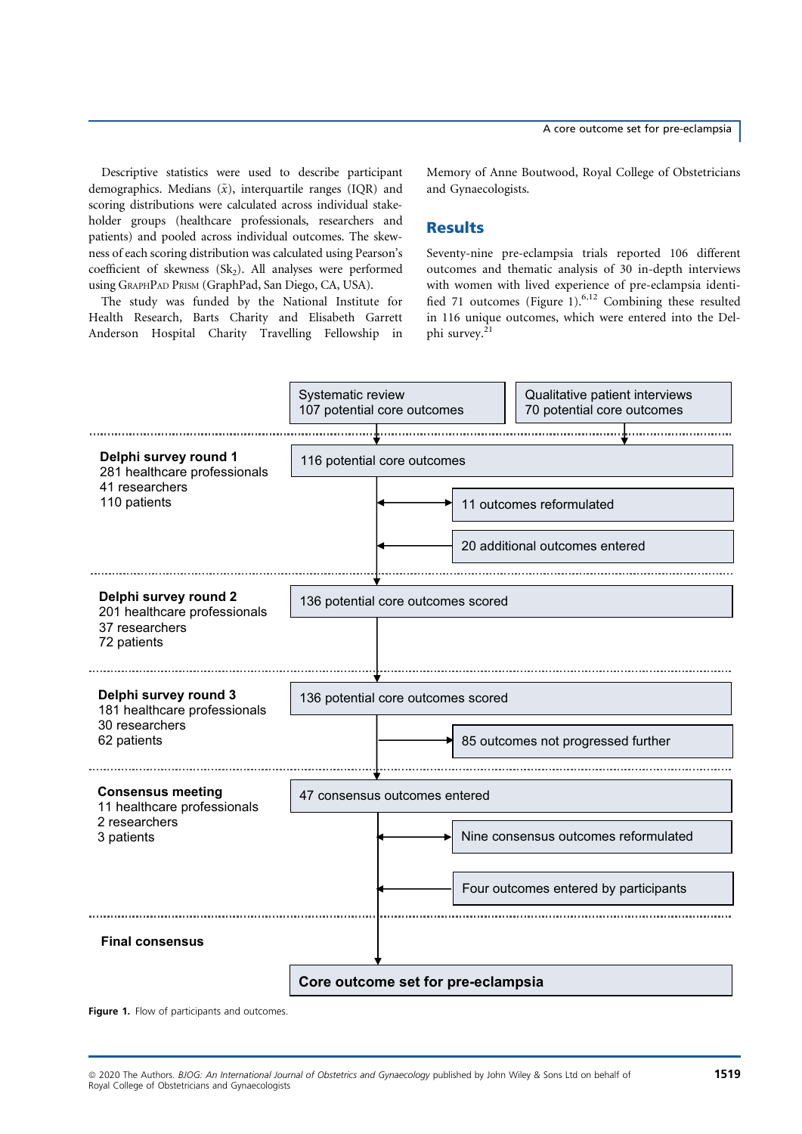Descriptive statistics were used to describe participant demographics. Medians  $(\tilde{x})$ , interquartile ranges (IQR) and scoring distributions were calculated across individual stakeholder groups (healthcare professionals, researchers and patients) and pooled across individual outcomes. The skewness of each scoring distribution was calculated using Pearson's coefficient of skewness  $(Sk<sub>2</sub>)$ . All analyses were performed using GRAPHPAD PRISM (GraphPad, San Diego, CA, USA).

The study was funded by the National Institute for Health Research, Barts Charity and Elisabeth Garrett Anderson Hospital Charity Travelling Fellowship in

Memory of Anne Boutwood, Royal College of Obstetricians and Gynaecologists.

# **Results**

Seventy-nine pre-eclampsia trials reported 106 different outcomes and thematic analysis of 30 in-depth interviews with women with lived experience of pre-eclampsia identified 71 outcomes (Figure 1).<sup>6,12</sup> Combining these resulted in 116 unique outcomes, which were entered into the Delphi survey.<sup>21</sup>



Figure 1. Flow of participants and outcomes.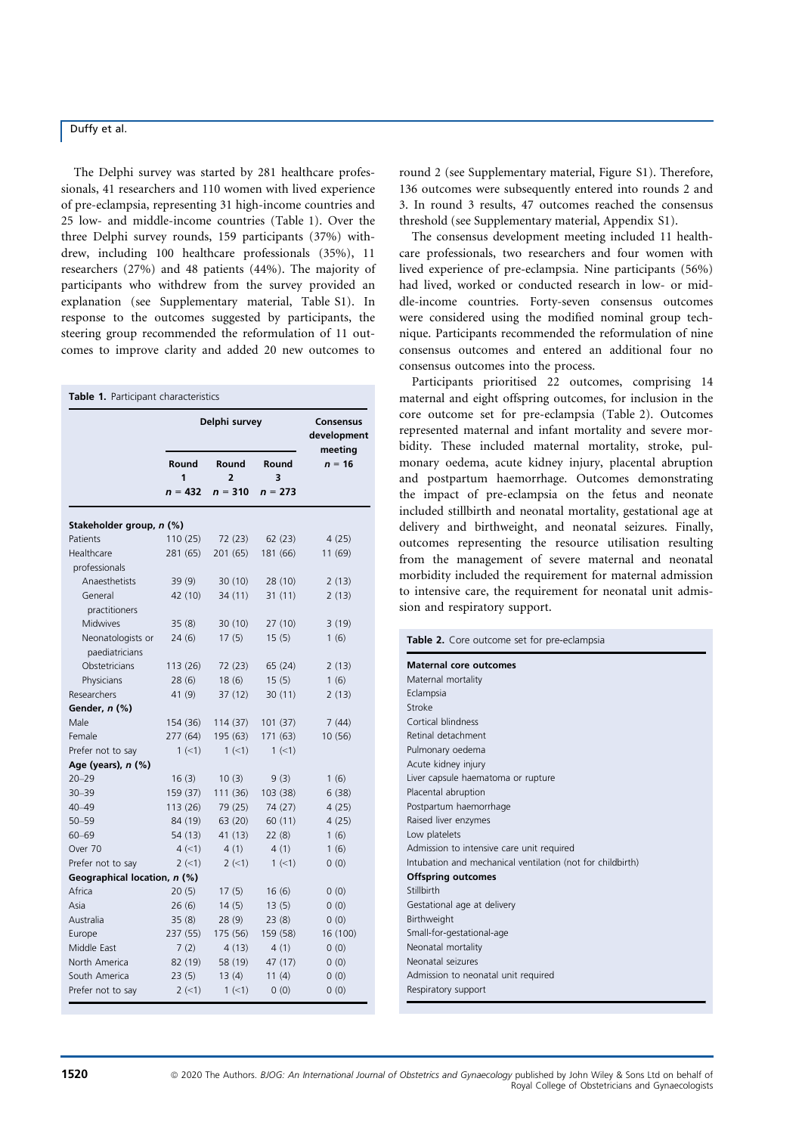The Delphi survey was started by 281 healthcare professionals, 41 researchers and 110 women with lived experience of pre-eclampsia, representing 31 high-income countries and 25 low- and middle-income countries (Table 1). Over the three Delphi survey rounds, 159 participants (37%) withdrew, including 100 healthcare professionals (35%), 11 researchers (27%) and 48 patients (44%). The majority of participants who withdrew from the survey provided an explanation (see Supplementary material, Table S1). In response to the outcomes suggested by participants, the steering group recommended the reformulation of 11 outcomes to improve clarity and added 20 new outcomes to

|                                      | Delphi survey           |                                      |                         | Consensus<br>development |
|--------------------------------------|-------------------------|--------------------------------------|-------------------------|--------------------------|
|                                      | Round<br>1<br>$n = 432$ | Round<br>$\overline{2}$<br>$n = 310$ | Round<br>3<br>$n = 273$ | meeting<br>$n = 16$      |
|                                      |                         |                                      |                         |                          |
| Stakeholder group, n (%)<br>Patients |                         |                                      |                         |                          |
| Healthcare                           | 110(25)                 | 72 (23)                              | 62(23)                  | 4(25)                    |
| professionals                        | 281 (65)                | 201 (65)                             | 181 (66)                | 11 (69)                  |
| Anaesthetists                        | 39(9)                   | 30(10)                               | 28 (10)                 | 2(13)                    |
| General                              | 42 (10)                 | 34 (11)                              | 31(11)                  | 2(13)                    |
| practitioners                        |                         |                                      |                         |                          |
| Midwives                             | 35(8)                   | 30 (10)                              | 27 (10)                 | 3(19)                    |
| Neonatologists or                    | 24(6)                   | 17(5)                                | 15(5)                   | 1(6)                     |
| paediatricians                       |                         |                                      |                         |                          |
| Obstetricians                        | 113 (26)                | 72 (23)                              | 65 (24)                 | 2(13)                    |
| Physicians                           | 28(6)                   | 18(6)                                | 15(5)                   | 1(6)                     |
| Researchers                          | 41 (9)                  | 37 (12)                              | 30(11)                  | 2(13)                    |
| Gender, n (%)                        |                         |                                      |                         |                          |
| Male                                 | 154 (36)                | 114(37)                              | 101(37)                 | 7(44)                    |
| Female                               | 277 (64)                | 195 (63)                             | 171 (63)                | 10(56)                   |
| Prefer not to say                    | 1 (< 1)                 | 1 (< 1)                              | 1 (< 1)                 |                          |
| Age (years), n (%)                   |                         |                                      |                         |                          |
| $20 - 29$                            | 16(3)                   | 10(3)                                | 9(3)                    | 1(6)                     |
| $30 - 39$                            | 159 (37)                | 111 (36)                             | 103 (38)                | 6(38)                    |
| $40 - 49$                            | 113 (26)                | 79 (25)                              | 74 (27)                 | 4(25)                    |
| $50 - 59$                            | 84 (19)                 | 63 (20)                              | 60 (11)                 | 4(25)                    |
| $60 - 69$                            | 54 (13)                 | 41 (13)                              | 22(8)                   | 1(6)                     |
| Over 70                              | 4(1)                    | 4(1)                                 | 4(1)                    | 1(6)                     |
| Prefer not to say                    | $2$ (<1)                | $2$ (<1)                             | $1$ (<1)                | 0(0)                     |
| Geographical location, n (%)         |                         |                                      |                         |                          |
| Africa                               | 20 (5)                  | 17(5)                                | 16(6)                   | 0(0)                     |
| Asia                                 | 26(6)                   | 14(5)                                | 13(5)                   | 0(0)                     |
| Australia                            | 35(8)                   | 28(9)                                | 23(8)                   | 0(0)                     |
| Europe                               | 237 (55)                | 175 (56)                             | 159 (58)                | 16 (100)                 |
| Middle East                          | 7(2)                    | 4(13)                                | 4(1)                    | 0(0)                     |
| North America                        | 82 (19)                 | 58 (19)                              | 47 (17)                 | 0(0)                     |
| South America                        | 23(5)                   | 13(4)                                | 11(4)                   | 0(0)                     |
| Prefer not to say                    | $2$ (<1)                | $1$ (<1)                             | 0(0)                    | 0(0)                     |

round 2 (see Supplementary material, Figure S1). Therefore, 136 outcomes were subsequently entered into rounds 2 and 3. In round 3 results, 47 outcomes reached the consensus threshold (see Supplementary material, Appendix S1).

The consensus development meeting included 11 healthcare professionals, two researchers and four women with lived experience of pre-eclampsia. Nine participants (56%) had lived, worked or conducted research in low- or middle-income countries. Forty-seven consensus outcomes were considered using the modified nominal group technique. Participants recommended the reformulation of nine consensus outcomes and entered an additional four no consensus outcomes into the process.

Participants prioritised 22 outcomes, comprising 14 maternal and eight offspring outcomes, for inclusion in the core outcome set for pre-eclampsia (Table 2). Outcomes represented maternal and infant mortality and severe morbidity. These included maternal mortality, stroke, pulmonary oedema, acute kidney injury, placental abruption and postpartum haemorrhage. Outcomes demonstrating the impact of pre-eclampsia on the fetus and neonate included stillbirth and neonatal mortality, gestational age at delivery and birthweight, and neonatal seizures. Finally, outcomes representing the resource utilisation resulting from the management of severe maternal and neonatal morbidity included the requirement for maternal admission to intensive care, the requirement for neonatal unit admission and respiratory support.

Table 2. Core outcome set for pre-eclampsia

| <b>Maternal core outcomes</b>                              |
|------------------------------------------------------------|
| Maternal mortality                                         |
| Eclampsia                                                  |
| Stroke                                                     |
| Cortical blindness                                         |
| Retinal detachment                                         |
| Pulmonary oedema                                           |
| Acute kidney injury                                        |
| Liver capsule haematoma or rupture                         |
| Placental abruption                                        |
| Postpartum haemorrhage                                     |
| Raised liver enzymes                                       |
| Low platelets                                              |
| Admission to intensive care unit required                  |
| Intubation and mechanical ventilation (not for childbirth) |
| <b>Offspring outcomes</b>                                  |
| Stillbirth                                                 |
| Gestational age at delivery                                |
| Birthweight                                                |
| Small-for-gestational-age                                  |
| Neonatal mortality                                         |
| Neonatal seizures                                          |
| Admission to neonatal unit required                        |
| Respiratory support                                        |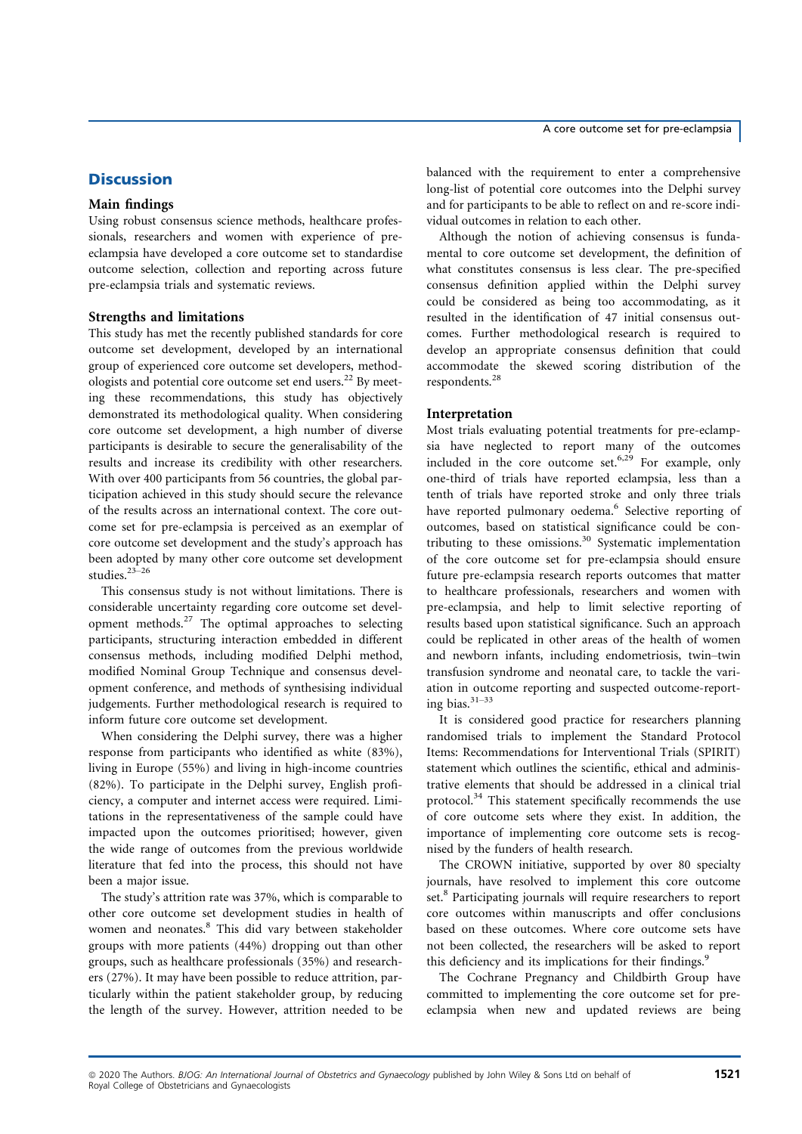# **Discussion**

#### Main findings

Using robust consensus science methods, healthcare professionals, researchers and women with experience of preeclampsia have developed a core outcome set to standardise outcome selection, collection and reporting across future pre-eclampsia trials and systematic reviews.

#### Strengths and limitations

This study has met the recently published standards for core outcome set development, developed by an international group of experienced core outcome set developers, methodologists and potential core outcome set end users.<sup>22</sup> By meeting these recommendations, this study has objectively demonstrated its methodological quality. When considering core outcome set development, a high number of diverse participants is desirable to secure the generalisability of the results and increase its credibility with other researchers. With over 400 participants from 56 countries, the global participation achieved in this study should secure the relevance of the results across an international context. The core outcome set for pre-eclampsia is perceived as an exemplar of core outcome set development and the study's approach has been adopted by many other core outcome set development studies.<sup>23–26</sup>

This consensus study is not without limitations. There is considerable uncertainty regarding core outcome set development methods.<sup>27</sup> The optimal approaches to selecting participants, structuring interaction embedded in different consensus methods, including modified Delphi method, modified Nominal Group Technique and consensus development conference, and methods of synthesising individual judgements. Further methodological research is required to inform future core outcome set development.

When considering the Delphi survey, there was a higher response from participants who identified as white (83%), living in Europe (55%) and living in high-income countries (82%). To participate in the Delphi survey, English proficiency, a computer and internet access were required. Limitations in the representativeness of the sample could have impacted upon the outcomes prioritised; however, given the wide range of outcomes from the previous worldwide literature that fed into the process, this should not have been a major issue.

The study's attrition rate was 37%, which is comparable to other core outcome set development studies in health of women and neonates.<sup>8</sup> This did vary between stakeholder groups with more patients (44%) dropping out than other groups, such as healthcare professionals (35%) and researchers (27%). It may have been possible to reduce attrition, particularly within the patient stakeholder group, by reducing the length of the survey. However, attrition needed to be

balanced with the requirement to enter a comprehensive long-list of potential core outcomes into the Delphi survey and for participants to be able to reflect on and re-score individual outcomes in relation to each other.

Although the notion of achieving consensus is fundamental to core outcome set development, the definition of what constitutes consensus is less clear. The pre-specified consensus definition applied within the Delphi survey could be considered as being too accommodating, as it resulted in the identification of 47 initial consensus outcomes. Further methodological research is required to develop an appropriate consensus definition that could accommodate the skewed scoring distribution of the respondents.<sup>28</sup>

#### Interpretation

Most trials evaluating potential treatments for pre-eclampsia have neglected to report many of the outcomes included in the core outcome set. $6,29$  For example, only one-third of trials have reported eclampsia, less than a tenth of trials have reported stroke and only three trials have reported pulmonary oedema.<sup>6</sup> Selective reporting of outcomes, based on statistical significance could be contributing to these omissions. $30$  Systematic implementation of the core outcome set for pre-eclampsia should ensure future pre-eclampsia research reports outcomes that matter to healthcare professionals, researchers and women with pre-eclampsia, and help to limit selective reporting of results based upon statistical significance. Such an approach could be replicated in other areas of the health of women and newborn infants, including endometriosis, twin–twin transfusion syndrome and neonatal care, to tackle the variation in outcome reporting and suspected outcome-reporting bias. $31-33$ 

It is considered good practice for researchers planning randomised trials to implement the Standard Protocol Items: Recommendations for Interventional Trials (SPIRIT) statement which outlines the scientific, ethical and administrative elements that should be addressed in a clinical trial protocol.<sup>34</sup> This statement specifically recommends the use of core outcome sets where they exist. In addition, the importance of implementing core outcome sets is recognised by the funders of health research.

The CROWN initiative, supported by over 80 specialty journals, have resolved to implement this core outcome set.<sup>8</sup> Participating journals will require researchers to report core outcomes within manuscripts and offer conclusions based on these outcomes. Where core outcome sets have not been collected, the researchers will be asked to report this deficiency and its implications for their findings.<sup>9</sup>

The Cochrane Pregnancy and Childbirth Group have committed to implementing the core outcome set for preeclampsia when new and updated reviews are being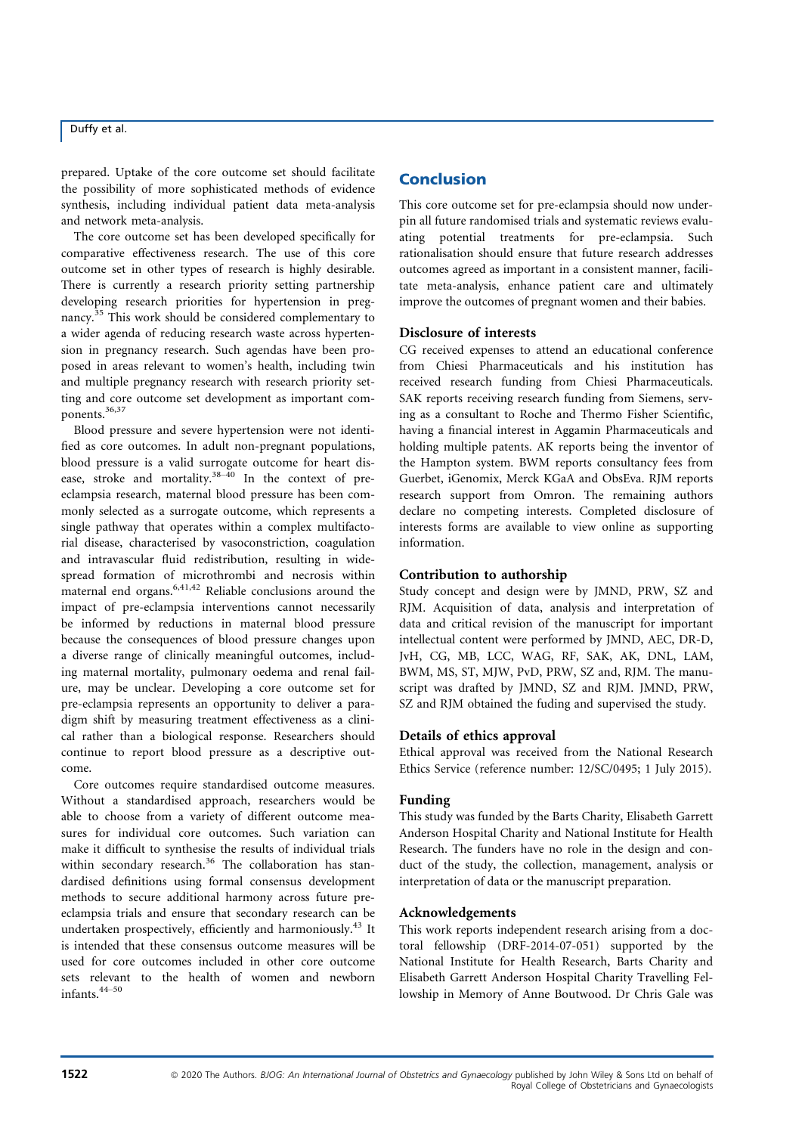prepared. Uptake of the core outcome set should facilitate the possibility of more sophisticated methods of evidence synthesis, including individual patient data meta-analysis and network meta-analysis.

The core outcome set has been developed specifically for comparative effectiveness research. The use of this core outcome set in other types of research is highly desirable. There is currently a research priority setting partnership developing research priorities for hypertension in pregnancy.<sup>35</sup> This work should be considered complementary to a wider agenda of reducing research waste across hypertension in pregnancy research. Such agendas have been proposed in areas relevant to women's health, including twin and multiple pregnancy research with research priority setting and core outcome set development as important components.<sup>36,37</sup>

Blood pressure and severe hypertension were not identified as core outcomes. In adult non-pregnant populations, blood pressure is a valid surrogate outcome for heart disease, stroke and mortality.<sup>38-40</sup> In the context of preeclampsia research, maternal blood pressure has been commonly selected as a surrogate outcome, which represents a single pathway that operates within a complex multifactorial disease, characterised by vasoconstriction, coagulation and intravascular fluid redistribution, resulting in widespread formation of microthrombi and necrosis within maternal end organs.<sup>6,41,42</sup> Reliable conclusions around the impact of pre-eclampsia interventions cannot necessarily be informed by reductions in maternal blood pressure because the consequences of blood pressure changes upon a diverse range of clinically meaningful outcomes, including maternal mortality, pulmonary oedema and renal failure, may be unclear. Developing a core outcome set for pre-eclampsia represents an opportunity to deliver a paradigm shift by measuring treatment effectiveness as a clinical rather than a biological response. Researchers should continue to report blood pressure as a descriptive outcome.

Core outcomes require standardised outcome measures. Without a standardised approach, researchers would be able to choose from a variety of different outcome measures for individual core outcomes. Such variation can make it difficult to synthesise the results of individual trials within secondary research. $36$  The collaboration has standardised definitions using formal consensus development methods to secure additional harmony across future preeclampsia trials and ensure that secondary research can be undertaken prospectively, efficiently and harmoniously.<sup>43</sup> It is intended that these consensus outcome measures will be used for core outcomes included in other core outcome sets relevant to the health of women and newborn infants.44–<sup>50</sup>

# Conclusion

This core outcome set for pre-eclampsia should now underpin all future randomised trials and systematic reviews evaluating potential treatments for pre-eclampsia. Such rationalisation should ensure that future research addresses outcomes agreed as important in a consistent manner, facilitate meta-analysis, enhance patient care and ultimately improve the outcomes of pregnant women and their babies.

#### Disclosure of interests

CG received expenses to attend an educational conference from Chiesi Pharmaceuticals and his institution has received research funding from Chiesi Pharmaceuticals. SAK reports receiving research funding from Siemens, serving as a consultant to Roche and Thermo Fisher Scientific, having a financial interest in Aggamin Pharmaceuticals and holding multiple patents. AK reports being the inventor of the Hampton system. BWM reports consultancy fees from Guerbet, iGenomix, Merck KGaA and ObsEva. RJM reports research support from Omron. The remaining authors declare no competing interests. Completed disclosure of interests forms are available to view online as supporting information.

### Contribution to authorship

Study concept and design were by JMND, PRW, SZ and RJM. Acquisition of data, analysis and interpretation of data and critical revision of the manuscript for important intellectual content were performed by JMND, AEC, DR-D, JvH, CG, MB, LCC, WAG, RF, SAK, AK, DNL, LAM, BWM, MS, ST, MJW, PvD, PRW, SZ and, RJM. The manuscript was drafted by JMND, SZ and RJM. JMND, PRW, SZ and RJM obtained the fuding and supervised the study.

#### Details of ethics approval

Ethical approval was received from the National Research Ethics Service (reference number: 12/SC/0495; 1 July 2015).

#### Funding

This study was funded by the Barts Charity, Elisabeth Garrett Anderson Hospital Charity and National Institute for Health Research. The funders have no role in the design and conduct of the study, the collection, management, analysis or interpretation of data or the manuscript preparation.

#### Acknowledgements

This work reports independent research arising from a doctoral fellowship (DRF-2014-07-051) supported by the National Institute for Health Research, Barts Charity and Elisabeth Garrett Anderson Hospital Charity Travelling Fellowship in Memory of Anne Boutwood. Dr Chris Gale was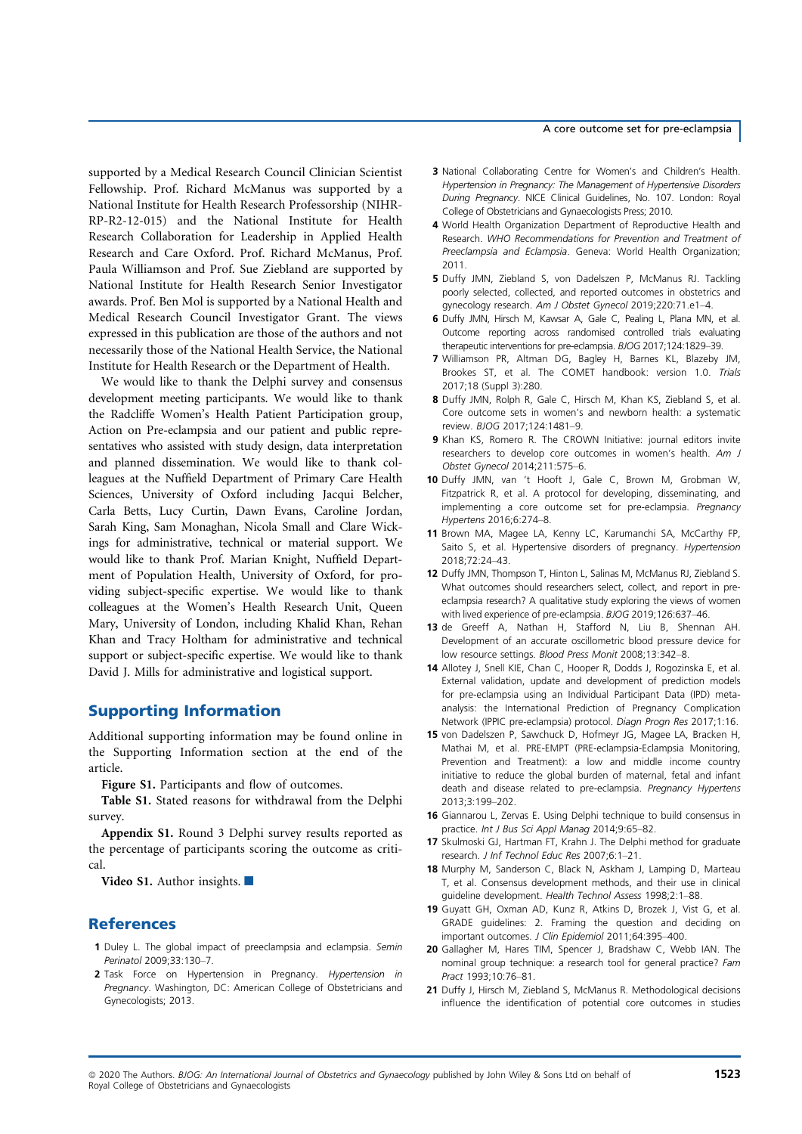supported by a Medical Research Council Clinician Scientist Fellowship. Prof. Richard McManus was supported by a National Institute for Health Research Professorship (NIHR-RP-R2-12-015) and the National Institute for Health Research Collaboration for Leadership in Applied Health Research and Care Oxford. Prof. Richard McManus, Prof. Paula Williamson and Prof. Sue Ziebland are supported by National Institute for Health Research Senior Investigator awards. Prof. Ben Mol is supported by a National Health and Medical Research Council Investigator Grant. The views expressed in this publication are those of the authors and not necessarily those of the National Health Service, the National Institute for Health Research or the Department of Health.

We would like to thank the Delphi survey and consensus development meeting participants. We would like to thank the Radcliffe Women's Health Patient Participation group, Action on Pre-eclampsia and our patient and public representatives who assisted with study design, data interpretation and planned dissemination. We would like to thank colleagues at the Nuffield Department of Primary Care Health Sciences, University of Oxford including Jacqui Belcher, Carla Betts, Lucy Curtin, Dawn Evans, Caroline Jordan, Sarah King, Sam Monaghan, Nicola Small and Clare Wickings for administrative, technical or material support. We would like to thank Prof. Marian Knight, Nuffield Department of Population Health, University of Oxford, for providing subject-specific expertise. We would like to thank colleagues at the Women's Health Research Unit, Queen Mary, University of London, including Khalid Khan, Rehan Khan and Tracy Holtham for administrative and technical support or subject-specific expertise. We would like to thank David J. Mills for administrative and logistical support.

## Supporting Information

Additional supporting information may be found online in the Supporting Information section at the end of the article.

Figure S1. Participants and flow of outcomes.

Table S1. Stated reasons for withdrawal from the Delphi survey.

Appendix S1. Round 3 Delphi survey results reported as the percentage of participants scoring the outcome as critical.

Video S1. Author insights.  $\blacksquare$ 

## References

- 1 Duley L. The global impact of preeclampsia and eclampsia. Semin Perinatol 2009;33:130–7.
- 2 Task Force on Hypertension in Pregnancy. Hypertension in Pregnancy. Washington, DC: American College of Obstetricians and Gynecologists; 2013.
- 3 National Collaborating Centre for Women's and Children's Health. Hypertension in Pregnancy: The Management of Hypertensive Disorders During Pregnancy. NICE Clinical Guidelines, No. 107. London: Royal College of Obstetricians and Gynaecologists Press; 2010.
- 4 World Health Organization Department of Reproductive Health and Research. WHO Recommendations for Prevention and Treatment of Preeclampsia and Eclampsia. Geneva: World Health Organization; 2011.
- 5 Duffy JMN, Ziebland S, von Dadelszen P, McManus RJ. Tackling poorly selected, collected, and reported outcomes in obstetrics and gynecology research. Am J Obstet Gynecol 2019;220:71.e1–4.
- 6 Duffy JMN, Hirsch M, Kawsar A, Gale C, Pealing L, Plana MN, et al. Outcome reporting across randomised controlled trials evaluating therapeutic interventions for pre-eclampsia. BJOG 2017;124:1829–39.
- 7 Williamson PR, Altman DG, Bagley H, Barnes KL, Blazeby JM, Brookes ST, et al. The COMET handbook: version 1.0. Trials 2017;18 (Suppl 3):280.
- 8 Duffy JMN, Rolph R, Gale C, Hirsch M, Khan KS, Ziebland S, et al. Core outcome sets in women's and newborn health: a systematic review. BJOG 2017;124:1481–9.
- 9 Khan KS, Romero R. The CROWN Initiative: journal editors invite researchers to develop core outcomes in women's health. Am J Obstet Gynecol 2014;211:575–6.
- 10 Duffy JMN, van 't Hooft J, Gale C, Brown M, Grobman W, Fitzpatrick R, et al. A protocol for developing, disseminating, and implementing a core outcome set for pre-eclampsia. Pregnancy Hypertens 2016;6:274–8.
- 11 Brown MA, Magee LA, Kenny LC, Karumanchi SA, McCarthy FP, Saito S, et al. Hypertensive disorders of pregnancy. Hypertension 2018;72:24–43.
- 12 Duffy JMN, Thompson T, Hinton L, Salinas M, McManus RJ, Ziebland S. What outcomes should researchers select, collect, and report in preeclampsia research? A qualitative study exploring the views of women with lived experience of pre-eclampsia. BJOG 2019;126:637–46.
- 13 de Greeff A, Nathan H, Stafford N, Liu B, Shennan AH. Development of an accurate oscillometric blood pressure device for low resource settings. Blood Press Monit 2008;13:342–8.
- 14 Allotey J, Snell KIE, Chan C, Hooper R, Dodds J, Rogozinska E, et al. External validation, update and development of prediction models for pre-eclampsia using an Individual Participant Data (IPD) metaanalysis: the International Prediction of Pregnancy Complication Network (IPPIC pre-eclampsia) protocol. Diagn Progn Res 2017;1:16.
- 15 von Dadelszen P, Sawchuck D, Hofmeyr JG, Magee LA, Bracken H, Mathai M, et al. PRE-EMPT (PRE-eclampsia-Eclampsia Monitoring, Prevention and Treatment): a low and middle income country initiative to reduce the global burden of maternal, fetal and infant death and disease related to pre-eclampsia. Pregnancy Hypertens 2013;3:199–202.
- 16 Giannarou L, Zervas E. Using Delphi technique to build consensus in practice. Int J Bus Sci Appl Manag 2014;9:65–82.
- 17 Skulmoski GJ, Hartman FT, Krahn J. The Delphi method for graduate research. J Inf Technol Educ Res 2007;6:1–21.
- 18 Murphy M, Sanderson C, Black N, Askham J, Lamping D, Marteau T, et al. Consensus development methods, and their use in clinical guideline development. Health Technol Assess 1998;2:1–88.
- 19 Guyatt GH, Oxman AD, Kunz R, Atkins D, Brozek J, Vist G, et al. GRADE guidelines: 2. Framing the question and deciding on important outcomes. J Clin Epidemiol 2011;64:395–400.
- 20 Gallagher M, Hares TIM, Spencer J, Bradshaw C, Webb IAN. The nominal group technique: a research tool for general practice? Fam Pract 1993;10:76–81.
- 21 Duffy J, Hirsch M, Ziebland S, McManus R. Methodological decisions influence the identification of potential core outcomes in studies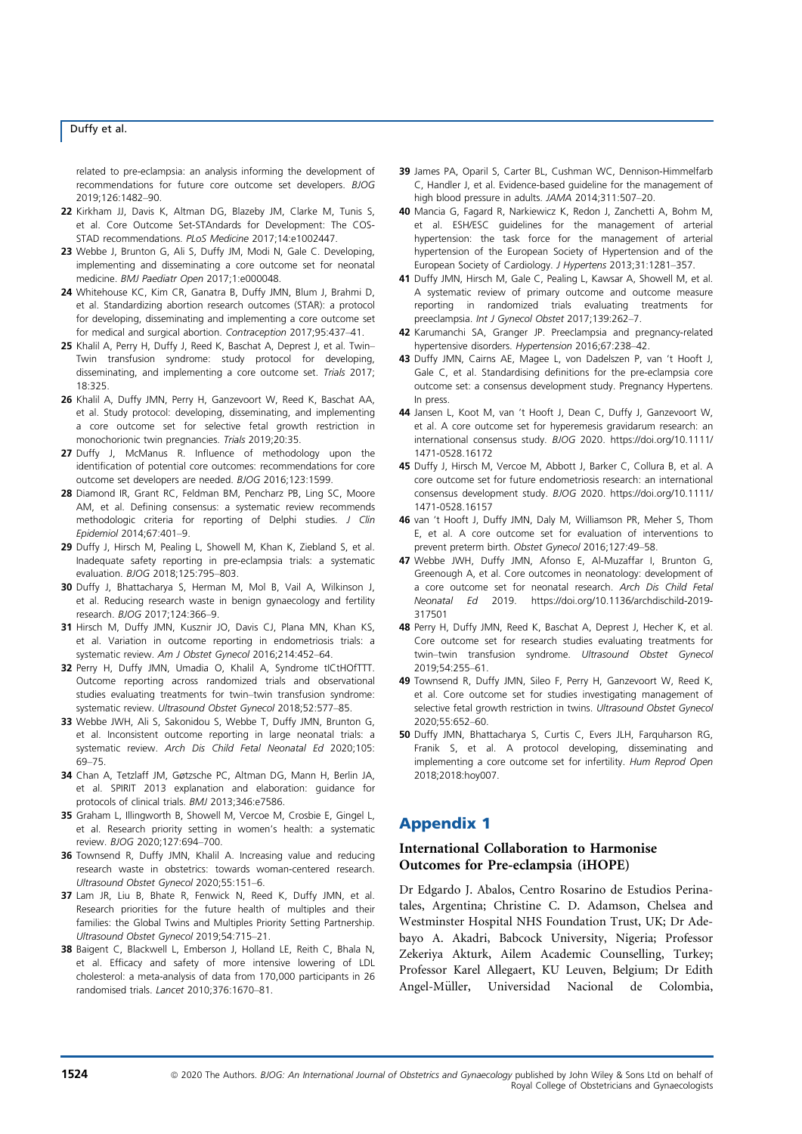related to pre-eclampsia: an analysis informing the development of recommendations for future core outcome set developers. BJOG 2019;126:1482–90.

- 22 Kirkham JJ, Davis K, Altman DG, Blazeby JM, Clarke M, Tunis S, et al. Core Outcome Set-STAndards for Development: The COS-STAD recommendations. PLoS Medicine 2017;14:e1002447.
- 23 Webbe J, Brunton G, Ali S, Duffy JM, Modi N, Gale C. Developing, implementing and disseminating a core outcome set for neonatal medicine. BMJ Paediatr Open 2017;1:e000048.
- 24 Whitehouse KC, Kim CR, Ganatra B, Duffy JMN, Blum J, Brahmi D, et al. Standardizing abortion research outcomes (STAR): a protocol for developing, disseminating and implementing a core outcome set for medical and surgical abortion. Contraception 2017;95:437–41.
- 25 Khalil A, Perry H, Duffy J, Reed K, Baschat A, Deprest J, et al. Twin– Twin transfusion syndrome: study protocol for developing, disseminating, and implementing a core outcome set. Trials 2017; 18:325.
- 26 Khalil A, Duffy JMN, Perry H, Ganzevoort W, Reed K, Baschat AA, et al. Study protocol: developing, disseminating, and implementing a core outcome set for selective fetal growth restriction in monochorionic twin pregnancies. Trials 2019;20:35.
- 27 Duffy J, McManus R. Influence of methodology upon the identification of potential core outcomes: recommendations for core outcome set developers are needed. BJOG 2016;123:1599.
- 28 Diamond IR, Grant RC, Feldman BM, Pencharz PB, Ling SC, Moore AM, et al. Defining consensus: a systematic review recommends methodologic criteria for reporting of Delphi studies. J Clin Epidemiol 2014;67:401–9.
- 29 Duffy J, Hirsch M, Pealing L, Showell M, Khan K, Ziebland S, et al. Inadequate safety reporting in pre-eclampsia trials: a systematic evaluation. BJOG 2018;125:795–803.
- 30 Duffy J, Bhattacharya S, Herman M, Mol B, Vail A, Wilkinson J, et al. Reducing research waste in benign gynaecology and fertility research. BJOG 2017;124:366–9.
- 31 Hirsch M, Duffy JMN, Kusznir JO, Davis CJ, Plana MN, Khan KS, et al. Variation in outcome reporting in endometriosis trials: a systematic review. Am J Obstet Gynecol 2016;214:452–64.
- 32 Perry H, Duffy JMN, Umadia O, Khalil A, Syndrome tICtHOfTTT. Outcome reporting across randomized trials and observational studies evaluating treatments for twin–twin transfusion syndrome: systematic review. Ultrasound Obstet Gynecol 2018;52:577–85.
- 33 Webbe JWH, Ali S, Sakonidou S, Webbe T, Duffy JMN, Brunton G, et al. Inconsistent outcome reporting in large neonatal trials: a systematic review. Arch Dis Child Fetal Neonatal Ed 2020;105: 69–75.
- 34 Chan A, Tetzlaff JM, Gøtzsche PC, Altman DG, Mann H, Berlin JA, et al. SPIRIT 2013 explanation and elaboration: guidance for protocols of clinical trials. BMJ 2013;346:e7586.
- 35 Graham L, Illingworth B, Showell M, Vercoe M, Crosbie E, Gingel L, et al. Research priority setting in women's health: a systematic review. BJOG 2020;127:694–700.
- 36 Townsend R, Duffy JMN, Khalil A. Increasing value and reducing research waste in obstetrics: towards woman-centered research. Ultrasound Obstet Gynecol 2020;55:151–6.
- 37 Lam JR, Liu B, Bhate R, Fenwick N, Reed K, Duffy JMN, et al. Research priorities for the future health of multiples and their families: the Global Twins and Multiples Priority Setting Partnership. Ultrasound Obstet Gynecol 2019;54:715–21.
- 38 Baigent C, Blackwell L, Emberson J, Holland LE, Reith C, Bhala N, et al. Efficacy and safety of more intensive lowering of LDL cholesterol: a meta-analysis of data from 170,000 participants in 26 randomised trials. Lancet 2010;376:1670–81.
- 39 James PA, Oparil S, Carter BL, Cushman WC, Dennison-Himmelfarb C, Handler J, et al. Evidence-based guideline for the management of high blood pressure in adults. JAMA 2014;311:507–20.
- 40 Mancia G, Fagard R, Narkiewicz K, Redon J, Zanchetti A, Bohm M, et al. ESH/ESC guidelines for the management of arterial hypertension: the task force for the management of arterial hypertension of the European Society of Hypertension and of the European Society of Cardiology. J Hypertens 2013;31:1281–357.
- 41 Duffy JMN, Hirsch M, Gale C, Pealing L, Kawsar A, Showell M, et al. A systematic review of primary outcome and outcome measure reporting in randomized trials evaluating treatments for preeclampsia. Int J Gynecol Obstet 2017;139:262–7.
- 42 Karumanchi SA, Granger JP. Preeclampsia and pregnancy-related hypertensive disorders. Hypertension 2016;67:238–42.
- 43 Duffy JMN, Cairns AE, Magee L, von Dadelszen P, van 't Hooft J, Gale C, et al. Standardising definitions for the pre-eclampsia core outcome set: a consensus development study. Pregnancy Hypertens. In press.
- 44 Jansen L, Koot M, van 't Hooft J, Dean C, Duffy J, Ganzevoort W, et al. A core outcome set for hyperemesis gravidarum research: an international consensus study. BJOG 2020. [https://doi.org/10.1111/](https://doi.org/10.1111/1471-0528.16172) [1471-0528.16172](https://doi.org/10.1111/1471-0528.16172)
- 45 Duffy J, Hirsch M, Vercoe M, Abbott J, Barker C, Collura B, et al. A core outcome set for future endometriosis research: an international consensus development study. BJOG 2020. [https://doi.org/10.1111/](https://doi.org/10.1111/1471-0528.16157) [1471-0528.16157](https://doi.org/10.1111/1471-0528.16157)
- 46 van 't Hooft J, Duffy JMN, Daly M, Williamson PR, Meher S, Thom E, et al. A core outcome set for evaluation of interventions to prevent preterm birth. Obstet Gynecol 2016;127:49–58.
- 47 Webbe JWH, Duffy JMN, Afonso E, Al-Muzaffar I, Brunton G, Greenough A, et al. Core outcomes in neonatology: development of a core outcome set for neonatal research. Arch Dis Child Fetal Neonatal Ed 2019. [https://doi.org/10.1136/archdischild-2019-](https://doi.org/10.1136/archdischild-2019-317501) [317501](https://doi.org/10.1136/archdischild-2019-317501)
- 48 Perry H, Duffy JMN, Reed K, Baschat A, Deprest J, Hecher K, et al. Core outcome set for research studies evaluating treatments for twin–twin transfusion syndrome. Ultrasound Obstet Gynecol 2019;54:255–61.
- 49 Townsend R, Duffy JMN, Sileo F, Perry H, Ganzevoort W, Reed K, et al. Core outcome set for studies investigating management of selective fetal growth restriction in twins. Ultrasound Obstet Gynecol 2020;55:652–60.
- 50 Duffy JMN, Bhattacharya S, Curtis C, Evers JLH, Farquharson RG, Franik S, et al. A protocol developing, disseminating and implementing a core outcome set for infertility. Hum Reprod Open 2018;2018:hoy007.

## Appendix 1

#### International Collaboration to Harmonise Outcomes for Pre-eclampsia (iHOPE)

Dr Edgardo J. Abalos, Centro Rosarino de Estudios Perinatales, Argentina; Christine C. D. Adamson, Chelsea and Westminster Hospital NHS Foundation Trust, UK; Dr Adebayo A. Akadri, Babcock University, Nigeria; Professor Zekeriya Akturk, Ailem Academic Counselling, Turkey; Professor Karel Allegaert, KU Leuven, Belgium; Dr Edith Angel-Müller, Universidad Nacional de Colombia,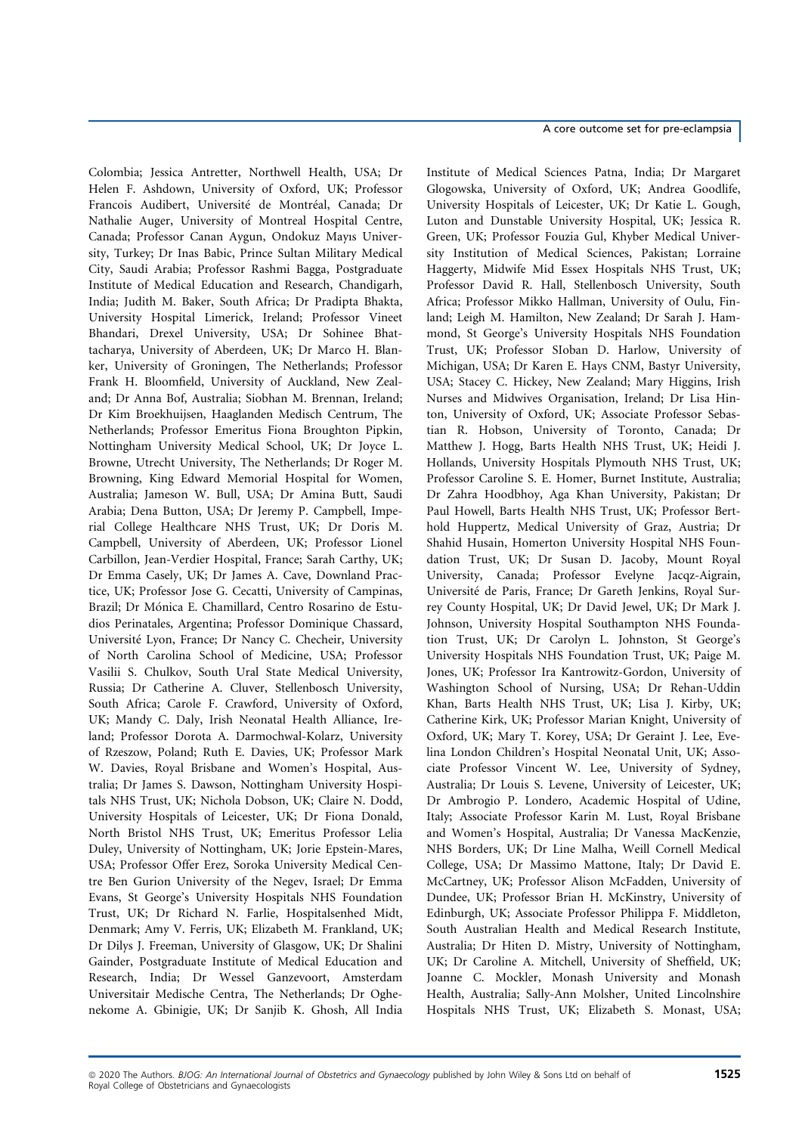Colombia; Jessica Antretter, Northwell Health, USA; Dr Helen F. Ashdown, University of Oxford, UK; Professor Francois Audibert, Université de Montréal, Canada; Dr Nathalie Auger, University of Montreal Hospital Centre, Canada; Professor Canan Aygun, Ondokuz Mayıs University, Turkey; Dr Inas Babic, Prince Sultan Military Medical City, Saudi Arabia; Professor Rashmi Bagga, Postgraduate Institute of Medical Education and Research, Chandigarh, India; Judith M. Baker, South Africa; Dr Pradipta Bhakta, University Hospital Limerick, Ireland; Professor Vineet Bhandari, Drexel University, USA; Dr Sohinee Bhattacharya, University of Aberdeen, UK; Dr Marco H. Blanker, University of Groningen, The Netherlands; Professor Frank H. Bloomfield, University of Auckland, New Zealand; Dr Anna Bof, Australia; Siobhan M. Brennan, Ireland; Dr Kim Broekhuijsen, Haaglanden Medisch Centrum, The Netherlands; Professor Emeritus Fiona Broughton Pipkin, Nottingham University Medical School, UK; Dr Joyce L. Browne, Utrecht University, The Netherlands; Dr Roger M. Browning, King Edward Memorial Hospital for Women, Australia; Jameson W. Bull, USA; Dr Amina Butt, Saudi Arabia; Dena Button, USA; Dr Jeremy P. Campbell, Imperial College Healthcare NHS Trust, UK; Dr Doris M. Campbell, University of Aberdeen, UK; Professor Lionel Carbillon, Jean-Verdier Hospital, France; Sarah Carthy, UK; Dr Emma Casely, UK; Dr James A. Cave, Downland Practice, UK; Professor Jose G. Cecatti, University of Campinas, Brazil; Dr Mónica E. Chamillard, Centro Rosarino de Estudios Perinatales, Argentina; Professor Dominique Chassard, Université Lyon, France; Dr Nancy C. Checheir, University of North Carolina School of Medicine, USA; Professor Vasilii S. Chulkov, South Ural State Medical University, Russia; Dr Catherine A. Cluver, Stellenbosch University, South Africa; Carole F. Crawford, University of Oxford, UK; Mandy C. Daly, Irish Neonatal Health Alliance, Ireland; Professor Dorota A. Darmochwal-Kolarz, University of Rzeszow, Poland; Ruth E. Davies, UK; Professor Mark W. Davies, Royal Brisbane and Women's Hospital, Australia; Dr James S. Dawson, Nottingham University Hospitals NHS Trust, UK; Nichola Dobson, UK; Claire N. Dodd, University Hospitals of Leicester, UK; Dr Fiona Donald, North Bristol NHS Trust, UK; Emeritus Professor Lelia Duley, University of Nottingham, UK; Jorie Epstein-Mares, USA; Professor Offer Erez, Soroka University Medical Centre Ben Gurion University of the Negev, Israel; Dr Emma Evans, St George's University Hospitals NHS Foundation Trust, UK; Dr Richard N. Farlie, Hospitalsenhed Midt, Denmark; Amy V. Ferris, UK; Elizabeth M. Frankland, UK; Dr Dilys J. Freeman, University of Glasgow, UK; Dr Shalini Gainder, Postgraduate Institute of Medical Education and Research, India; Dr Wessel Ganzevoort, Amsterdam Universitair Medische Centra, The Netherlands; Dr Oghenekome A. Gbinigie, UK; Dr Sanjib K. Ghosh, All India

Institute of Medical Sciences Patna, India; Dr Margaret Glogowska, University of Oxford, UK; Andrea Goodlife, University Hospitals of Leicester, UK; Dr Katie L. Gough, Luton and Dunstable University Hospital, UK; Jessica R. Green, UK; Professor Fouzia Gul, Khyber Medical University Institution of Medical Sciences, Pakistan; Lorraine Haggerty, Midwife Mid Essex Hospitals NHS Trust, UK; Professor David R. Hall, Stellenbosch University, South Africa; Professor Mikko Hallman, University of Oulu, Finland; Leigh M. Hamilton, New Zealand; Dr Sarah J. Hammond, St George's University Hospitals NHS Foundation Trust, UK; Professor SIoban D. Harlow, University of Michigan, USA; Dr Karen E. Hays CNM, Bastyr University, USA; Stacey C. Hickey, New Zealand; Mary Higgins, Irish Nurses and Midwives Organisation, Ireland; Dr Lisa Hinton, University of Oxford, UK; Associate Professor Sebastian R. Hobson, University of Toronto, Canada; Dr Matthew J. Hogg, Barts Health NHS Trust, UK; Heidi J. Hollands, University Hospitals Plymouth NHS Trust, UK; Professor Caroline S. E. Homer, Burnet Institute, Australia; Dr Zahra Hoodbhoy, Aga Khan University, Pakistan; Dr Paul Howell, Barts Health NHS Trust, UK; Professor Berthold Huppertz, Medical University of Graz, Austria; Dr Shahid Husain, Homerton University Hospital NHS Foundation Trust, UK; Dr Susan D. Jacoby, Mount Royal University, Canada; Professor Evelyne Jacqz-Aigrain, Université de Paris, France; Dr Gareth Jenkins, Royal Surrey County Hospital, UK; Dr David Jewel, UK; Dr Mark J. Johnson, University Hospital Southampton NHS Foundation Trust, UK; Dr Carolyn L. Johnston, St George's University Hospitals NHS Foundation Trust, UK; Paige M. Jones, UK; Professor Ira Kantrowitz-Gordon, University of Washington School of Nursing, USA; Dr Rehan-Uddin Khan, Barts Health NHS Trust, UK; Lisa J. Kirby, UK; Catherine Kirk, UK; Professor Marian Knight, University of Oxford, UK; Mary T. Korey, USA; Dr Geraint J. Lee, Evelina London Children's Hospital Neonatal Unit, UK; Associate Professor Vincent W. Lee, University of Sydney, Australia; Dr Louis S. Levene, University of Leicester, UK; Dr Ambrogio P. Londero, Academic Hospital of Udine, Italy; Associate Professor Karin M. Lust, Royal Brisbane and Women's Hospital, Australia; Dr Vanessa MacKenzie, NHS Borders, UK; Dr Line Malha, Weill Cornell Medical College, USA; Dr Massimo Mattone, Italy; Dr David E. McCartney, UK; Professor Alison McFadden, University of Dundee, UK; Professor Brian H. McKinstry, University of Edinburgh, UK; Associate Professor Philippa F. Middleton, South Australian Health and Medical Research Institute, Australia; Dr Hiten D. Mistry, University of Nottingham, UK; Dr Caroline A. Mitchell, University of Sheffield, UK; Joanne C. Mockler, Monash University and Monash Health, Australia; Sally-Ann Molsher, United Lincolnshire Hospitals NHS Trust, UK; Elizabeth S. Monast, USA;